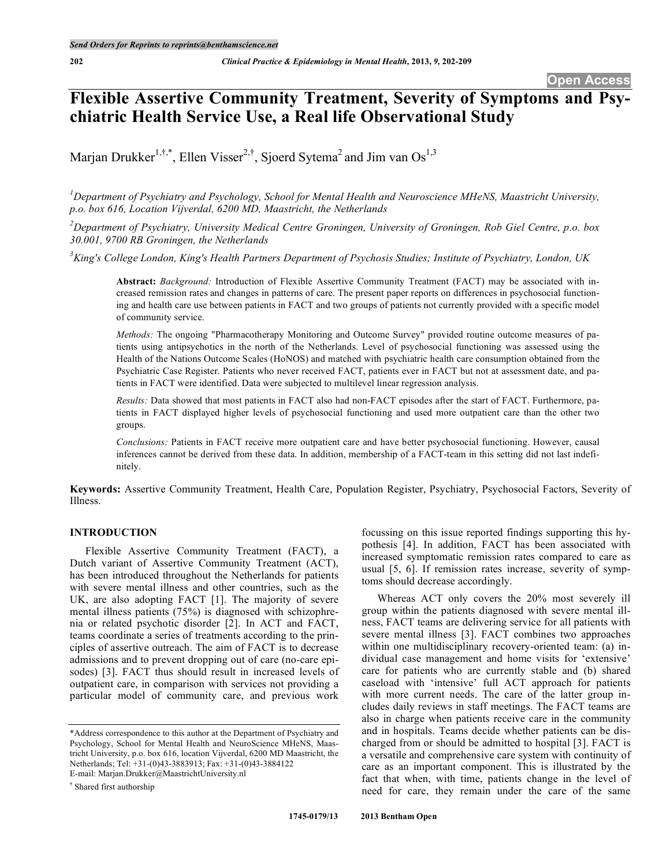# **Flexible Assertive Community Treatment, Severity of Symptoms and Psychiatric Health Service Use, a Real life Observational Study**

Marjan Drukker<sup>1,†,\*</sup>, Ellen Visser<sup>2,†</sup>, Sjoerd Sytema<sup>2</sup> and Jim van Os<sup>1,3</sup>

*1 Department of Psychiatry and Psychology, School for Mental Health and Neuroscience MHeNS, Maastricht University, p.o. box 616, Location Vijverdal, 6200 MD, Maastricht, the Netherlands*

 $^{2}$ Department of Psychiatry, University Medical Centre Groningen, University of Groningen, Rob Giel Centre, p.o. box *30.001, 9700 RB Groningen, the Netherlands*

 ${}^{3}$ King's College London, King's Health Partners Department of Psychosis Studies; Institute of Psychiatry, London, UK

**Abstract:** *Background:* Introduction of Flexible Assertive Community Treatment (FACT) may be associated with increased remission rates and changes in patterns of care. The present paper reports on differences in psychosocial functioning and health care use between patients in FACT and two groups of patients not currently provided with a specific model of community service.

*Methods:* The ongoing "Pharmacotherapy Monitoring and Outcome Survey" provided routine outcome measures of patients using antipsychotics in the north of the Netherlands. Level of psychosocial functioning was assessed using the Health of the Nations Outcome Scales (HoNOS) and matched with psychiatric health care consumption obtained from the Psychiatric Case Register. Patients who never received FACT, patients ever in FACT but not at assessment date, and patients in FACT were identified. Data were subjected to multilevel linear regression analysis.

*Results:* Data showed that most patients in FACT also had non-FACT episodes after the start of FACT. Furthermore, patients in FACT displayed higher levels of psychosocial functioning and used more outpatient care than the other two groups.

*Conclusions:* Patients in FACT receive more outpatient care and have better psychosocial functioning. However, causal inferences cannot be derived from these data. In addition, membership of a FACT-team in this setting did not last indefinitely.

**Keywords:** Assertive Community Treatment, Health Care, Population Register, Psychiatry, Psychosocial Factors, Severity of Illness.

# **INTRODUCTION**

Flexible Assertive Community Treatment (FACT), a Dutch variant of Assertive Community Treatment (ACT), has been introduced throughout the Netherlands for patients with severe mental illness and other countries, such as the UK, are also adopting FACT [1]. The majority of severe mental illness patients (75%) is diagnosed with schizophrenia or related psychotic disorder [2]. In ACT and FACT, teams coordinate a series of treatments according to the principles of assertive outreach. The aim of FACT is to decrease admissions and to prevent dropping out of care (no-care episodes) [3]. FACT thus should result in increased levels of outpatient care, in comparison with services not providing a particular model of community care, and previous work

**†** Shared first authorship

focussing on this issue reported findings supporting this hypothesis [4]. In addition, FACT has been associated with increased symptomatic remission rates compared to care as usual [5, 6]. If remission rates increase, severity of symptoms should decrease accordingly.

Whereas ACT only covers the 20% most severely ill group within the patients diagnosed with severe mental illness, FACT teams are delivering service for all patients with severe mental illness [3]. FACT combines two approaches within one multidisciplinary recovery-oriented team: (a) individual case management and home visits for 'extensive' care for patients who are currently stable and (b) shared caseload with 'intensive' full ACT approach for patients with more current needs. The care of the latter group includes daily reviews in staff meetings. The FACT teams are also in charge when patients receive care in the community and in hospitals. Teams decide whether patients can be discharged from or should be admitted to hospital [3]. FACT is a versatile and comprehensive care system with continuity of care as an important component. This is illustrated by the fact that when, with time, patients change in the level of need for care, they remain under the care of the same

<sup>\*</sup>Address correspondence to this author at the Department of Psychiatry and Psychology, School for Mental Health and NeuroScience MHeNS, Maastricht University, p.o. box 616, location Vijverdal, 6200 MD Maastricht, the Netherlands; Tel: +31-(0)43-3883913; Fax: +31-(0)43-3884122 E-mail: Marjan.Drukker@MaastrichtUniversity.nl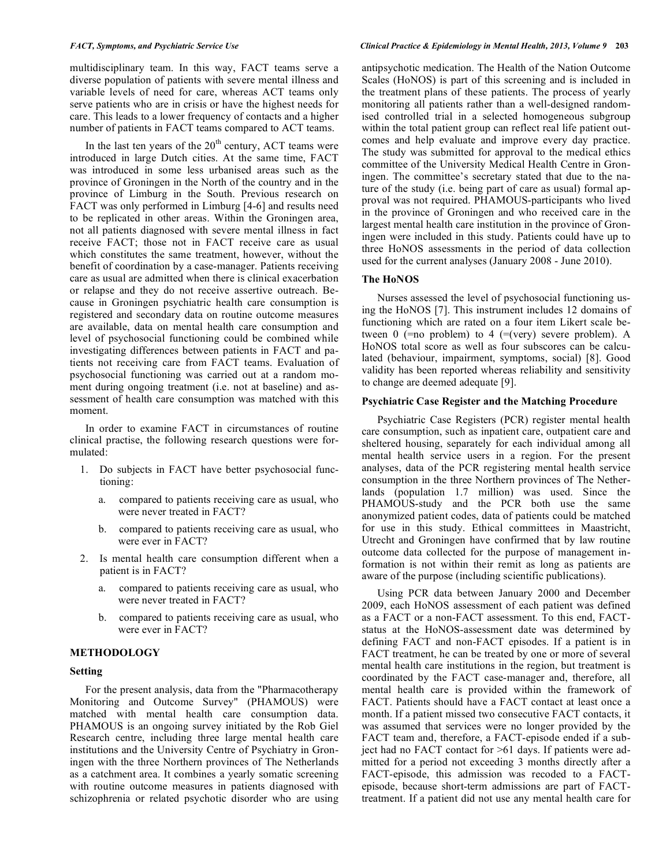multidisciplinary team. In this way, FACT teams serve a diverse population of patients with severe mental illness and variable levels of need for care, whereas ACT teams only serve patients who are in crisis or have the highest needs for care. This leads to a lower frequency of contacts and a higher number of patients in FACT teams compared to ACT teams.

In the last ten years of the  $20<sup>th</sup>$  century, ACT teams were introduced in large Dutch cities. At the same time, FACT was introduced in some less urbanised areas such as the province of Groningen in the North of the country and in the province of Limburg in the South. Previous research on FACT was only performed in Limburg [4-6] and results need to be replicated in other areas. Within the Groningen area, not all patients diagnosed with severe mental illness in fact receive FACT; those not in FACT receive care as usual which constitutes the same treatment, however, without the benefit of coordination by a case-manager. Patients receiving care as usual are admitted when there is clinical exacerbation or relapse and they do not receive assertive outreach. Because in Groningen psychiatric health care consumption is registered and secondary data on routine outcome measures are available, data on mental health care consumption and level of psychosocial functioning could be combined while investigating differences between patients in FACT and patients not receiving care from FACT teams. Evaluation of psychosocial functioning was carried out at a random moment during ongoing treatment (i.e. not at baseline) and assessment of health care consumption was matched with this moment.

In order to examine FACT in circumstances of routine clinical practise, the following research questions were formulated:

- 1. Do subjects in FACT have better psychosocial functioning:
	- a. compared to patients receiving care as usual, who were never treated in FACT?
	- b. compared to patients receiving care as usual, who were ever in FACT?
- 2. Is mental health care consumption different when a patient is in FACT?
	- a. compared to patients receiving care as usual, who were never treated in FACT?
	- b. compared to patients receiving care as usual, who were ever in FACT?

#### **METHODOLOGY**

#### **Setting**

For the present analysis, data from the "Pharmacotherapy Monitoring and Outcome Survey" (PHAMOUS) were matched with mental health care consumption data. PHAMOUS is an ongoing survey initiated by the Rob Giel Research centre, including three large mental health care institutions and the University Centre of Psychiatry in Groningen with the three Northern provinces of The Netherlands as a catchment area. It combines a yearly somatic screening with routine outcome measures in patients diagnosed with schizophrenia or related psychotic disorder who are using

#### FACT, Symptoms, and Psychiatric Service Use Service of Service 15 and Service Clinical Practice & Epidemiology in Mental Health, 2013, Volume 9 203

antipsychotic medication. The Health of the Nation Outcome Scales (HoNOS) is part of this screening and is included in the treatment plans of these patients. The process of yearly monitoring all patients rather than a well-designed randomised controlled trial in a selected homogeneous subgroup within the total patient group can reflect real life patient outcomes and help evaluate and improve every day practice. The study was submitted for approval to the medical ethics committee of the University Medical Health Centre in Groningen. The committee's secretary stated that due to the nature of the study (i.e. being part of care as usual) formal approval was not required. PHAMOUS-participants who lived in the province of Groningen and who received care in the largest mental health care institution in the province of Groningen were included in this study. Patients could have up to three HoNOS assessments in the period of data collection used for the current analyses (January 2008 - June 2010).

#### **The HoNOS**

Nurses assessed the level of psychosocial functioning using the HoNOS [7]. This instrument includes 12 domains of functioning which are rated on a four item Likert scale between  $0$  (=no problem) to  $4$  (=(very) severe problem). A HoNOS total score as well as four subscores can be calculated (behaviour, impairment, symptoms, social) [8]. Good validity has been reported whereas reliability and sensitivity to change are deemed adequate [9].

# **Psychiatric Case Register and the Matching Procedure**

Psychiatric Case Registers (PCR) register mental health care consumption, such as inpatient care, outpatient care and sheltered housing, separately for each individual among all mental health service users in a region. For the present analyses, data of the PCR registering mental health service consumption in the three Northern provinces of The Netherlands (population 1.7 million) was used. Since the PHAMOUS-study and the PCR both use the same anonymized patient codes, data of patients could be matched for use in this study. Ethical committees in Maastricht, Utrecht and Groningen have confirmed that by law routine outcome data collected for the purpose of management information is not within their remit as long as patients are aware of the purpose (including scientific publications).

Using PCR data between January 2000 and December 2009, each HoNOS assessment of each patient was defined as a FACT or a non-FACT assessment. To this end, FACTstatus at the HoNOS-assessment date was determined by defining FACT and non-FACT episodes. If a patient is in FACT treatment, he can be treated by one or more of several mental health care institutions in the region, but treatment is coordinated by the FACT case-manager and, therefore, all mental health care is provided within the framework of FACT. Patients should have a FACT contact at least once a month. If a patient missed two consecutive FACT contacts, it was assumed that services were no longer provided by the FACT team and, therefore, a FACT-episode ended if a subject had no FACT contact for >61 days. If patients were admitted for a period not exceeding 3 months directly after a FACT-episode, this admission was recoded to a FACTepisode, because short-term admissions are part of FACTtreatment. If a patient did not use any mental health care for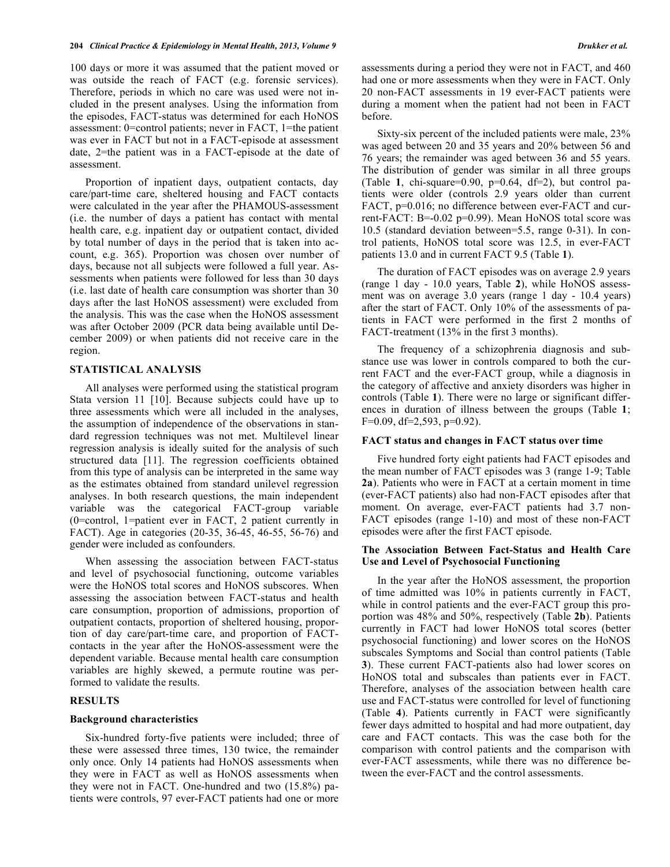100 days or more it was assumed that the patient moved or was outside the reach of FACT (e.g. forensic services). Therefore, periods in which no care was used were not included in the present analyses. Using the information from the episodes, FACT-status was determined for each HoNOS assessment: 0=control patients; never in FACT, 1=the patient was ever in FACT but not in a FACT-episode at assessment date, 2=the patient was in a FACT-episode at the date of assessment.

Proportion of inpatient days, outpatient contacts, day care/part-time care, sheltered housing and FACT contacts were calculated in the year after the PHAMOUS-assessment (i.e. the number of days a patient has contact with mental health care, e.g. inpatient day or outpatient contact, divided by total number of days in the period that is taken into account, e.g. 365). Proportion was chosen over number of days, because not all subjects were followed a full year. Assessments when patients were followed for less than 30 days (i.e. last date of health care consumption was shorter than 30 days after the last HoNOS assessment) were excluded from the analysis. This was the case when the HoNOS assessment was after October 2009 (PCR data being available until December 2009) or when patients did not receive care in the region.

#### **STATISTICAL ANALYSIS**

All analyses were performed using the statistical program Stata version 11 [10]. Because subjects could have up to three assessments which were all included in the analyses, the assumption of independence of the observations in standard regression techniques was not met. Multilevel linear regression analysis is ideally suited for the analysis of such structured data [11]. The regression coefficients obtained from this type of analysis can be interpreted in the same way as the estimates obtained from standard unilevel regression analyses. In both research questions, the main independent variable was the categorical FACT-group variable (0=control, 1=patient ever in FACT, 2 patient currently in FACT). Age in categories (20-35, 36-45, 46-55, 56-76) and gender were included as confounders.

When assessing the association between FACT-status and level of psychosocial functioning, outcome variables were the HoNOS total scores and HoNOS subscores. When assessing the association between FACT-status and health care consumption, proportion of admissions, proportion of outpatient contacts, proportion of sheltered housing, proportion of day care/part-time care, and proportion of FACTcontacts in the year after the HoNOS-assessment were the dependent variable. Because mental health care consumption variables are highly skewed, a permute routine was performed to validate the results.

## **RESULTS**

#### **Background characteristics**

Six-hundred forty-five patients were included; three of these were assessed three times, 130 twice, the remainder only once. Only 14 patients had HoNOS assessments when they were in FACT as well as HoNOS assessments when they were not in FACT. One-hundred and two (15.8%) patients were controls, 97 ever-FACT patients had one or more

assessments during a period they were not in FACT, and 460 had one or more assessments when they were in FACT. Only 20 non-FACT assessments in 19 ever-FACT patients were during a moment when the patient had not been in FACT before.

Sixty-six percent of the included patients were male, 23% was aged between 20 and 35 years and 20% between 56 and 76 years; the remainder was aged between 36 and 55 years. The distribution of gender was similar in all three groups (Table 1, chi-square= $0.90$ ,  $p=0.64$ ,  $df=2$ ), but control patients were older (controls 2.9 years older than current FACT, p=0.016; no difference between ever-FACT and current-FACT: B=-0.02 p=0.99). Mean HoNOS total score was 10.5 (standard deviation between=5.5, range 0-31). In control patients, HoNOS total score was 12.5, in ever-FACT patients 13.0 and in current FACT 9.5 (Table **1**).

The duration of FACT episodes was on average 2.9 years (range 1 day - 10.0 years, Table **2**), while HoNOS assessment was on average 3.0 years (range 1 day - 10.4 years) after the start of FACT. Only 10% of the assessments of patients in FACT were performed in the first 2 months of FACT-treatment (13% in the first 3 months).

The frequency of a schizophrenia diagnosis and substance use was lower in controls compared to both the current FACT and the ever-FACT group, while a diagnosis in the category of affective and anxiety disorders was higher in controls (Table **1**). There were no large or significant differences in duration of illness between the groups (Table **1**; F=0.09, df=2,593, p=0.92).

#### **FACT status and changes in FACT status over time**

Five hundred forty eight patients had FACT episodes and the mean number of FACT episodes was 3 (range 1-9; Table **2a**). Patients who were in FACT at a certain moment in time (ever-FACT patients) also had non-FACT episodes after that moment. On average, ever-FACT patients had 3.7 non-FACT episodes (range 1-10) and most of these non-FACT episodes were after the first FACT episode.

# **The Association Between Fact-Status and Health Care Use and Level of Psychosocial Functioning**

In the year after the HoNOS assessment, the proportion of time admitted was 10% in patients currently in FACT, while in control patients and the ever-FACT group this proportion was 48% and 50%, respectively (Table **2b**). Patients currently in FACT had lower HoNOS total scores (better psychosocial functioning) and lower scores on the HoNOS subscales Symptoms and Social than control patients (Table **3**). These current FACT-patients also had lower scores on HoNOS total and subscales than patients ever in FACT. Therefore, analyses of the association between health care use and FACT-status were controlled for level of functioning (Table **4**). Patients currently in FACT were significantly fewer days admitted to hospital and had more outpatient, day care and FACT contacts. This was the case both for the comparison with control patients and the comparison with ever-FACT assessments, while there was no difference between the ever-FACT and the control assessments.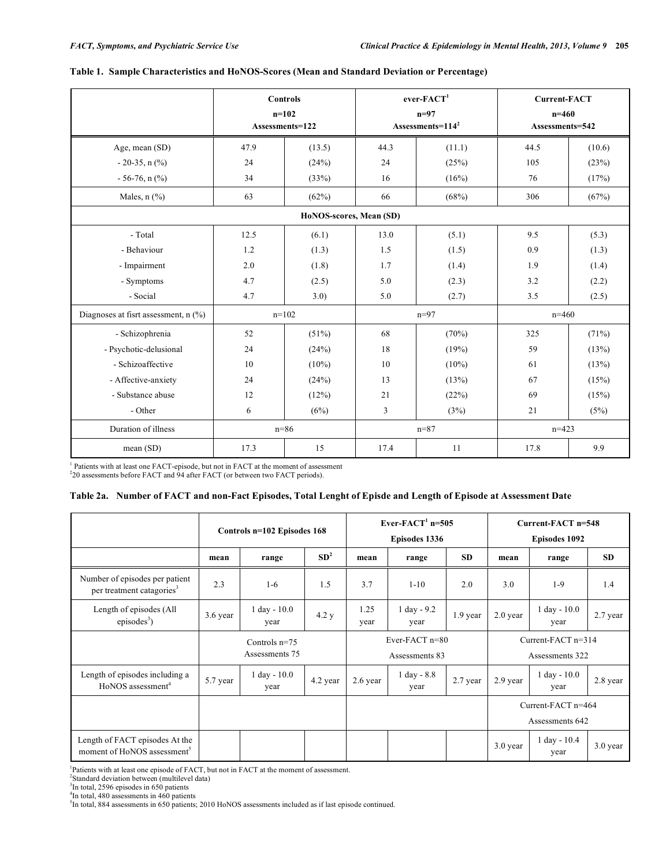|                                      |      | <b>Controls</b><br>$n=102$<br>Assessments=122 |             | $ever-FACT1$<br>$n=97$<br>Assessments= $1142$ | <b>Current-FACT</b><br>$n=460$<br>Assessments=542 |          |  |
|--------------------------------------|------|-----------------------------------------------|-------------|-----------------------------------------------|---------------------------------------------------|----------|--|
| Age, mean (SD)                       | 47.9 | (13.5)                                        | 44.3        | (11.1)                                        | 44.5                                              | (10.6)   |  |
| $-20-35$ , n $(\%$ )                 | 24   | (24%)                                         | 24          | (25%)                                         | 105                                               | (23%)    |  |
| $-56-76$ , n $(\%$ )                 | 34   | (33%)                                         | 16          | (16%)                                         | 76                                                | (17%)    |  |
| Males, $n$ $(\frac{9}{6})$           | 63   | (62%)                                         | 66          | (68%)                                         | 306                                               | (67%)    |  |
| HoNOS-scores, Mean (SD)              |      |                                               |             |                                               |                                                   |          |  |
| - Total                              | 12.5 | (6.1)                                         | 13.0        | (5.1)                                         | 9.5                                               | (5.3)    |  |
| - Behaviour                          | 1.2  | (1.3)                                         | 1.5         | (1.5)                                         | 0.9                                               | (1.3)    |  |
| - Impairment                         | 2.0  | (1.8)                                         | 1.7         | (1.4)                                         | 1.9                                               | (1.4)    |  |
| - Symptoms                           | 4.7  | (2.5)                                         | 5.0         | (2.3)                                         | 3.2                                               | (2.2)    |  |
| - Social                             | 4.7  | 3.0)                                          | 5.0         | (2.7)                                         | 3.5                                               | (2.5)    |  |
| Diagnoses at fisrt assessment, n (%) |      | $n=102$                                       |             | $n=97$                                        | $n=460$                                           |          |  |
| - Schizophrenia                      | 52   | (51%)                                         | 68          | (70%)                                         | 325                                               | $(71\%)$ |  |
| - Psychotic-delusional               | 24   | (24%)                                         | 18<br>(19%) |                                               | 59                                                | (13%)    |  |
| - Schizoaffective                    | 10   | $(10\%)$                                      | 10          | $(10\%)$                                      | 61                                                | (13%)    |  |
| - Affective-anxiety                  | 24   | (24%)                                         | 13          | (13%)                                         | 67                                                | (15%)    |  |
| - Substance abuse                    | 12   | (12%)                                         | 21          | (22%)                                         | 69                                                | (15%)    |  |
| - Other                              | 6    | (6%)                                          | 3           | (3%)                                          | 21                                                | (5%)     |  |
| Duration of illness                  |      | $n = 86$                                      |             | $n = 87$                                      | $n=423$                                           |          |  |
| mean (SD)                            | 17.3 | 15                                            | 17.4        | 11                                            | 17.8                                              | 9.9      |  |

# **Table 1. Sample Characteristics and HoNOS-Scores (Mean and Standard Deviation or Percentage)**

<sup>1</sup> Patients with at least one FACT-episode, but not in FACT at the moment of assessment 220 assessments before FACT and 94 after FACT (or between two FACT periods).

### Table 2a. Number of FACT and non-Fact Episodes, Total Lenght of Episde and Length of Episode at Assessment Date

|                                                                           |                                   | Controls n=102 Episodes 168             |                 | Ever-FACT <sup>1</sup> n=505<br>Episodes 1336 |                               |            | Current-FACT n=548<br>Episodes 1092     |                                       |            |
|---------------------------------------------------------------------------|-----------------------------------|-----------------------------------------|-----------------|-----------------------------------------------|-------------------------------|------------|-----------------------------------------|---------------------------------------|------------|
|                                                                           | mean                              | range                                   | SD <sup>2</sup> | mean                                          | range                         | <b>SD</b>  | mean                                    | range                                 | <b>SD</b>  |
| Number of episodes per patient<br>per treatment catagories <sup>3</sup>   | 2.3                               | $1-6$                                   | 1.5             | 3.7                                           | $1 - 10$                      | 2.0        | 3.0                                     | $1-9$                                 | 1.4        |
| Length of episodes (All<br>episodes <sup>3</sup> )                        | 3.6 year                          | $1 \text{ day} - 10.0$<br>4.2 y<br>year |                 | 1.25<br>year                                  | $1 \text{ day} - 9.2$<br>year | $1.9$ year | $2.0$ year                              | $1 \text{ day} - 10.0$<br>year        | 2.7 year   |
|                                                                           | Controls $n=75$<br>Assessments 75 |                                         |                 | Ever-FACT $n=80$<br>Assessments 83            |                               |            | Current-FACT $n=314$<br>Assessments 322 |                                       |            |
| Length of episodes including a<br>HoNOS assessment <sup>4</sup>           | 5.7 year                          | $1$ day - $10.0$<br>year                | 4.2 year        | 2.6 year                                      | $1$ day - $8.8$<br>year       | 2.7 year   | 2.9 year                                | $1$ day - $10.0$<br>year              | 2.8 year   |
|                                                                           |                                   |                                         |                 |                                               |                               |            |                                         | Current-FACT n=464<br>Assessments 642 |            |
| Length of FACT episodes At the<br>moment of HoNOS assessment <sup>5</sup> |                                   |                                         |                 |                                               |                               |            | $3.0$ year                              | $1$ day - $10.4$<br>year              | $3.0$ year |

<sup>1</sup>Patients with at least one episode of FACT, but not in FACT at the moment of assessment.<br><sup>2</sup>Standard deviation between (multilevel data)<br><sup>3</sup>In total, 2596 episodes in 650 patients<br><sup>4</sup>In total, 480 assessments in 460 pat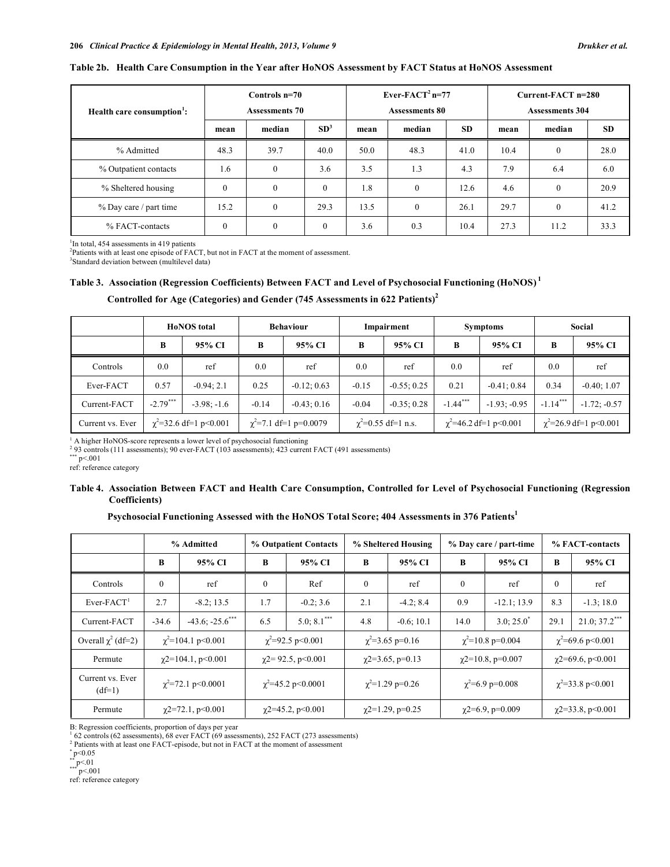#### **Table 2b. Health Care Consumption in the Year after HoNOS Assessment by FACT Status at HoNOS Assessment**

| Health care consumption <sup>1</sup> : | Controls $n=70$<br><b>Assessments 70</b> |                  |                 | Ever-FACT <sup>2</sup> n=77<br><b>Assessments 80</b> |              |           | Current-FACT n=280<br><b>Assessments 304</b> |          |           |
|----------------------------------------|------------------------------------------|------------------|-----------------|------------------------------------------------------|--------------|-----------|----------------------------------------------|----------|-----------|
|                                        | mean                                     | median           | SD <sup>3</sup> | mean                                                 | median       | <b>SD</b> | mean                                         | median   | <b>SD</b> |
| % Admitted                             | 48.3                                     | 39.7             | 40.0            | 50.0                                                 | 48.3         | 41.0      | 10.4                                         | $\theta$ | 28.0      |
| % Outpatient contacts                  | 1.6                                      | $\boldsymbol{0}$ | 3.6             | 3.5                                                  | 1.3          | 4.3       | 7.9                                          | 6.4      | 6.0       |
| % Sheltered housing                    | $\Omega$                                 | $\theta$         | $\theta$        | 1.8                                                  | $\mathbf{0}$ | 12.6      | 4.6                                          | $\theta$ | 20.9      |
| % Day care / part time                 | 15.2                                     | $\theta$         | 29.3            | 13.5                                                 | $\mathbf{0}$ | 26.1      | 29.7                                         | $\theta$ | 41.2      |
| % FACT-contacts                        | $\mathbf{0}$                             | $\theta$         | 0               | 3.6                                                  | 0.3          | 10.4      | 27.3                                         | 11.2     | 33.3      |

<sup>1</sup>In total, 454 assessments in 419 patients <sup>2</sup><br><sup>2</sup> Patients with at least and arise de of EA

Patients with at least one episode of FACT, but not in FACT at the moment of assessment.

3 Standard deviation between (multilevel data)

# **Table 3. Association (Regression Coefficients) Between FACT and Level of Psychosocial Functioning (HoNOS) <sup>1</sup>**

|                  |            | <b>HoNOS</b> total          | <b>Behaviour</b> |                             | Impairment                 |               | <b>Symptoms</b>             |                | Social                        |                |
|------------------|------------|-----------------------------|------------------|-----------------------------|----------------------------|---------------|-----------------------------|----------------|-------------------------------|----------------|
|                  | B          | 95% CI                      | B                | 95% CI                      | B                          | 95% CI        | B                           | 95% CI         | В                             | 95% CI         |
| <b>Controls</b>  | 0.0        | ref                         | 0.0              | ref                         | 0.0                        | ref           | 0.0                         | ref            | 0.0                           | ref            |
| Ever-FACT        | 0.57       | $-0.94:2.1$                 | 0.25             | $-0.12; 0.63$               | $-0.15$                    | $-0.55; 0.25$ | 0.21                        | $-0.41; 0.84$  | 0.34                          | $-0.40; 1.07$  |
| Current-FACT     | $-2.79***$ | $-3.98: -1.6$               | $-0.14$          | $-0.43; 0.16$               | $-0.04$                    | $-0.35:0.28$  | $-1.44***$                  | $-1.93; -0.95$ | $-1.14***$                    | $-1.72; -0.57$ |
| Current vs. Ever |            | $\chi^2$ =32.6 df=1 p<0.001 |                  | $\chi^2$ =7.1 df=1 p=0.0079 | $\gamma^2$ =0.55 df=1 n.s. |               | $\chi^2$ =46.2 df=1 p<0.001 |                | $\gamma^2$ =26.9 df=1 p<0.001 |                |

# **Controlled for Age (Categories) and Gender (745 Assessments in 622 Patients) 2**

<sup>1</sup> A higher HoNOS-score represents a lower level of psychosocial functioning  $293$  controls (111 assessments); 90 ever-FACT (103 assessments); 423 current FACT (491 assessments)  $\frac{1}{2}$  p<.001

ref: reference category

# Table 4. Association Between FACT and Health Care Consumption, Controlled for Level of Psychosocial Functioning (Regression **Coefficients)**

# **Psychosocial Functioning Assessed with the HoNOS Total Score; 404 Assessments in 376 Patients 1**

|                              | % Admitted |                                  | % Outpatient Contacts    |                           | % Sheltered Housing   |                       | % Day care / part-time   |                        | % FACT-contacts          |                        |  |
|------------------------------|------------|----------------------------------|--------------------------|---------------------------|-----------------------|-----------------------|--------------------------|------------------------|--------------------------|------------------------|--|
|                              | B          | 95% CI                           | B                        | 95% CI                    | B                     | 95% CI                | B                        | 95% CI                 | B                        | 95% CI                 |  |
| Controls                     | $\Omega$   | ref                              | $\Omega$                 | Ref                       | $\Omega$              | ref                   | $\mathbf{0}$             | ref                    | $\Omega$                 | ref                    |  |
| $Ever-FACT1$                 | 2.7        | $-8.2; 13.5$                     | 1.7                      | $-0.2; 3.6$               | 2.1                   | $-4.2; 8.4$           | 0.9                      | $-12.1; 13.9$          | 8.3                      | $-1.3; 18.0$           |  |
| Current-FACT                 | $-34.6$    | $-43.6$ ; $-25.6$ <sup>***</sup> | 6.5                      | $5.0; 8.1***$             | 4.8                   | $-0.6; 10.1$          | 14.0                     | 3.0; 25.0"             | 29.1                     | $21.0; 37.2$ ***       |  |
| Overall $\chi^2$ (df=2)      |            | $\chi^2$ =104.1 p<0.001          |                          | $\chi^2$ =92.5 p<0.001    |                       | $\chi^2$ =3.65 p=0.16 |                          | $\chi^2$ =10.8 p=0.004 |                          | $\chi^2$ =69.6 p<0.001 |  |
| Permute                      |            | $\gamma$ 2=104.1, p<0.001        |                          | $\gamma$ 2= 92.5, p<0.001 | $\chi$ 2=3.65, p=0.13 |                       | $\gamma$ 2=10.8, p=0.007 |                        | $\gamma$ 2=69.6, p<0.001 |                        |  |
| Current vs. Ever<br>$(df=1)$ |            | $\chi^2$ =72.1 p<0.0001          |                          | $\chi^2$ =45.2 p<0.0001   | $\chi^2$ =1.29 p=0.26 |                       | $\chi^2$ =6.9 p=0.008    |                        | $\chi^2$ =33.8 p<0.001   |                        |  |
| Permute                      |            | $\chi$ 2=72.1, p<0.001           | $\chi$ 2=45.2, p < 0.001 |                           | $\chi$ 2=1.29, p=0.25 |                       | $\chi$ 2=6.9, p=0.009    |                        | $\gamma$ 2=33.8, p<0.001 |                        |  |

B: Regression coefficients, proportion of days per year  $\frac{1}{2}$  62 controls (62 assessments), 68 ever FACT (69 assessments), 252 FACT (273 assessments)

<sup>2</sup> Patients with at least one FACT-episode, but not in FACT at the moment of assessment  $_{p}^{*}$ P<0.05

 $*$  p < 01<br> $p$  < 001

ref: reference category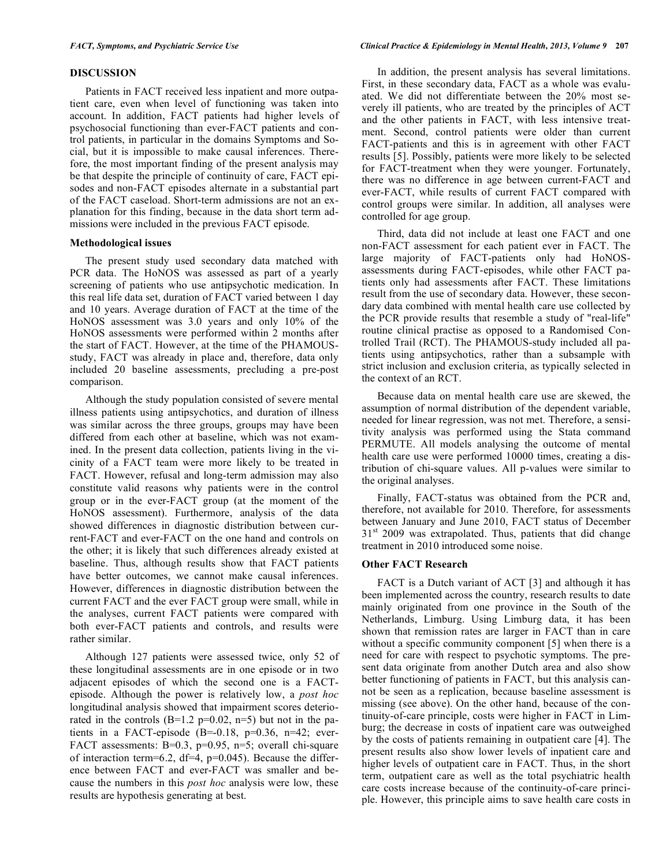Patients in FACT received less inpatient and more outpatient care, even when level of functioning was taken into account. In addition, FACT patients had higher levels of psychosocial functioning than ever-FACT patients and control patients, in particular in the domains Symptoms and Social, but it is impossible to make causal inferences. Therefore, the most important finding of the present analysis may be that despite the principle of continuity of care, FACT episodes and non-FACT episodes alternate in a substantial part of the FACT caseload. Short-term admissions are not an explanation for this finding, because in the data short term admissions were included in the previous FACT episode.

#### **Methodological issues**

The present study used secondary data matched with PCR data. The HoNOS was assessed as part of a yearly screening of patients who use antipsychotic medication. In this real life data set, duration of FACT varied between 1 day and 10 years. Average duration of FACT at the time of the HoNOS assessment was 3.0 years and only 10% of the HoNOS assessments were performed within 2 months after the start of FACT. However, at the time of the PHAMOUSstudy, FACT was already in place and, therefore, data only included 20 baseline assessments, precluding a pre-post comparison.

Although the study population consisted of severe mental illness patients using antipsychotics, and duration of illness was similar across the three groups, groups may have been differed from each other at baseline, which was not examined. In the present data collection, patients living in the vicinity of a FACT team were more likely to be treated in FACT. However, refusal and long-term admission may also constitute valid reasons why patients were in the control group or in the ever-FACT group (at the moment of the HoNOS assessment). Furthermore, analysis of the data showed differences in diagnostic distribution between current-FACT and ever-FACT on the one hand and controls on the other; it is likely that such differences already existed at baseline. Thus, although results show that FACT patients have better outcomes, we cannot make causal inferences. However, differences in diagnostic distribution between the current FACT and the ever FACT group were small, while in the analyses, current FACT patients were compared with both ever-FACT patients and controls, and results were rather similar.

Although 127 patients were assessed twice, only 52 of these longitudinal assessments are in one episode or in two adjacent episodes of which the second one is a FACTepisode. Although the power is relatively low, a *post hoc* longitudinal analysis showed that impairment scores deteriorated in the controls  $(B=1.2 \text{ p}=0.02, \text{ n}=5)$  but not in the patients in a FACT-episode  $(B=-0.18, p=0.36, n=42;$  ever-FACT assessments: B=0.3, p=0.95, n=5; overall chi-square of interaction term=6.2, df=4, p=0.045). Because the difference between FACT and ever-FACT was smaller and because the numbers in this *post hoc* analysis were low, these results are hypothesis generating at best.

In addition, the present analysis has several limitations. First, in these secondary data, FACT as a whole was evaluated. We did not differentiate between the 20% most severely ill patients, who are treated by the principles of ACT and the other patients in FACT, with less intensive treatment. Second, control patients were older than current FACT-patients and this is in agreement with other FACT results [5]. Possibly, patients were more likely to be selected for FACT-treatment when they were younger. Fortunately, there was no difference in age between current-FACT and ever-FACT, while results of current FACT compared with control groups were similar. In addition, all analyses were controlled for age group.

Third, data did not include at least one FACT and one non-FACT assessment for each patient ever in FACT. The large majority of FACT-patients only had HoNOSassessments during FACT-episodes, while other FACT patients only had assessments after FACT. These limitations result from the use of secondary data. However, these secondary data combined with mental health care use collected by the PCR provide results that resemble a study of "real-life" routine clinical practise as opposed to a Randomised Controlled Trail (RCT). The PHAMOUS-study included all patients using antipsychotics, rather than a subsample with strict inclusion and exclusion criteria, as typically selected in the context of an RCT.

Because data on mental health care use are skewed, the assumption of normal distribution of the dependent variable, needed for linear regression, was not met. Therefore, a sensitivity analysis was performed using the Stata command PERMUTE. All models analysing the outcome of mental health care use were performed 10000 times, creating a distribution of chi-square values. All p-values were similar to the original analyses.

Finally, FACT-status was obtained from the PCR and, therefore, not available for 2010. Therefore, for assessments between January and June 2010, FACT status of December  $31<sup>st</sup>$  2009 was extrapolated. Thus, patients that did change treatment in 2010 introduced some noise.

## **Other FACT Research**

FACT is a Dutch variant of ACT [3] and although it has been implemented across the country, research results to date mainly originated from one province in the South of the Netherlands, Limburg. Using Limburg data, it has been shown that remission rates are larger in FACT than in care without a specific community component [5] when there is a need for care with respect to psychotic symptoms. The present data originate from another Dutch area and also show better functioning of patients in FACT, but this analysis cannot be seen as a replication, because baseline assessment is missing (see above). On the other hand, because of the continuity-of-care principle, costs were higher in FACT in Limburg; the decrease in costs of inpatient care was outweighed by the costs of patients remaining in outpatient care [4]. The present results also show lower levels of inpatient care and higher levels of outpatient care in FACT. Thus, in the short term, outpatient care as well as the total psychiatric health care costs increase because of the continuity-of-care principle. However, this principle aims to save health care costs in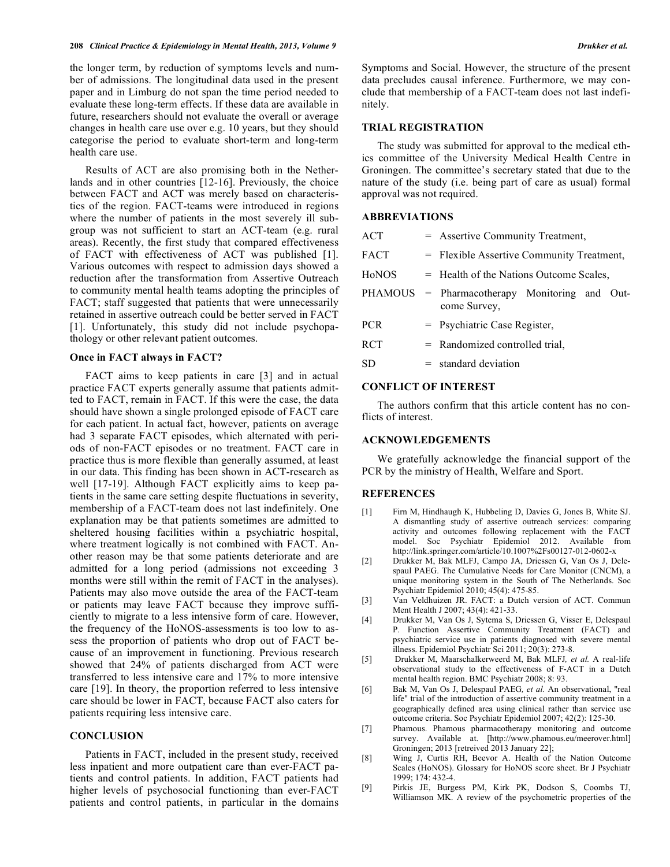#### **208** *Clinical Practice & Epidemiology in Mental Health, 2013, Volume 9 Drukker et al.*

the longer term, by reduction of symptoms levels and number of admissions. The longitudinal data used in the present paper and in Limburg do not span the time period needed to evaluate these long-term effects. If these data are available in future, researchers should not evaluate the overall or average changes in health care use over e.g. 10 years, but they should categorise the period to evaluate short-term and long-term health care use.

Results of ACT are also promising both in the Netherlands and in other countries [12-16]. Previously, the choice between FACT and ACT was merely based on characteristics of the region. FACT-teams were introduced in regions where the number of patients in the most severely ill subgroup was not sufficient to start an ACT-team (e.g. rural areas). Recently, the first study that compared effectiveness of FACT with effectiveness of ACT was published [1]. Various outcomes with respect to admission days showed a reduction after the transformation from Assertive Outreach to community mental health teams adopting the principles of FACT; staff suggested that patients that were unnecessarily retained in assertive outreach could be better served in FACT [1]. Unfortunately, this study did not include psychopathology or other relevant patient outcomes.

#### **Once in FACT always in FACT?**

FACT aims to keep patients in care [3] and in actual practice FACT experts generally assume that patients admitted to FACT, remain in FACT. If this were the case, the data should have shown a single prolonged episode of FACT care for each patient. In actual fact, however, patients on average had 3 separate FACT episodes, which alternated with periods of non-FACT episodes or no treatment. FACT care in practice thus is more flexible than generally assumed, at least in our data. This finding has been shown in ACT-research as well [17-19]. Although FACT explicitly aims to keep patients in the same care setting despite fluctuations in severity, membership of a FACT-team does not last indefinitely. One explanation may be that patients sometimes are admitted to sheltered housing facilities within a psychiatric hospital, where treatment logically is not combined with FACT. Another reason may be that some patients deteriorate and are admitted for a long period (admissions not exceeding 3 months were still within the remit of FACT in the analyses). Patients may also move outside the area of the FACT-team or patients may leave FACT because they improve sufficiently to migrate to a less intensive form of care. However, the frequency of the HoNOS-assessments is too low to assess the proportion of patients who drop out of FACT because of an improvement in functioning. Previous research showed that 24% of patients discharged from ACT were transferred to less intensive care and 17% to more intensive care [19]. In theory, the proportion referred to less intensive care should be lower in FACT, because FACT also caters for patients requiring less intensive care.

# **CONCLUSION**

Patients in FACT, included in the present study, received less inpatient and more outpatient care than ever-FACT patients and control patients. In addition, FACT patients had higher levels of psychosocial functioning than ever-FACT patients and control patients, in particular in the domains Symptoms and Social. However, the structure of the present data precludes causal inference. Furthermore, we may conclude that membership of a FACT-team does not last indefinitely.

# **TRIAL REGISTRATION**

The study was submitted for approval to the medical ethics committee of the University Medical Health Centre in Groningen. The committee's secretary stated that due to the nature of the study (i.e. being part of care as usual) formal approval was not required.

# **ABBREVIATIONS**

| <b>ACT</b>     | = Assertive Community Treatment,                      |  |  |  |  |  |  |
|----------------|-------------------------------------------------------|--|--|--|--|--|--|
| <b>FACT</b>    | = Flexible Assertive Community Treatment,             |  |  |  |  |  |  |
| HoNOS          | = Health of the Nations Outcome Scales,               |  |  |  |  |  |  |
| <b>PHAMOUS</b> | = Pharmacotherapy Monitoring and Out-<br>come Survey, |  |  |  |  |  |  |
| <b>PCR</b>     | = Psychiatric Case Register,                          |  |  |  |  |  |  |
| <b>RCT</b>     | $=$ Randomized controlled trial.                      |  |  |  |  |  |  |
| SD             | $=$ standard deviation                                |  |  |  |  |  |  |

### **CONFLICT OF INTEREST**

The authors confirm that this article content has no conflicts of interest.

### **ACKNOWLEDGEMENTS**

We gratefully acknowledge the financial support of the PCR by the ministry of Health, Welfare and Sport.

#### **REFERENCES**

- [1] Firn M, Hindhaugh K, Hubbeling D, Davies G, Jones B, White SJ. A dismantling study of assertive outreach services: comparing activity and outcomes following replacement with the FACT model. Soc Psychiatr Epidemiol 2012. Available from http://link.springer.com/article/10.1007%2Fs00127-012-0602-x
- [2] Drukker M, Bak MLFJ, Campo JA, Driessen G, Van Os J, Delespaul PAEG. The Cumulative Needs for Care Monitor (CNCM), a unique monitoring system in the South of The Netherlands. Soc Psychiatr Epidemiol 2010; 45(4): 475-85.
- [3] Van Veldhuizen JR. FACT: a Dutch version of ACT. Commun Ment Health J 2007; 43(4): 421-33.
- [4] Drukker M, Van Os J, Sytema S, Driessen G, Visser E, Delespaul P. Function Assertive Community Treatment (FACT) and psychiatric service use in patients diagnosed with severe mental illness. Epidemiol Psychiatr Sci 2011; 20(3): 273-8.
- [5] Drukker M, Maarschalkerweerd M, Bak MLFJ*, et al.* A real-life observational study to the effectiveness of F-ACT in a Dutch mental health region. BMC Psychiatr 2008; 8: 93.
- [6] Bak M, Van Os J, Delespaul PAEG*, et al.* An observational, "real life" trial of the introduction of assertive community treatment in a geographically defined area using clinical rather than service use outcome criteria. Soc Psychiatr Epidemiol 2007; 42(2): 125-30.
- [7] Phamous. Phamous pharmacotherapy monitoring and outcome survey. Available at. [http://www.phamous.eu/meerover.html] Groningen; 2013 [retreived 2013 January 22];
- [8] Wing J, Curtis RH, Beevor A. Health of the Nation Outcome Scales (HoNOS). Glossary for HoNOS score sheet. Br J Psychiatr 1999; 174: 432-4.
- [9] Pirkis JE, Burgess PM, Kirk PK, Dodson S, Coombs TJ, Williamson MK. A review of the psychometric properties of the